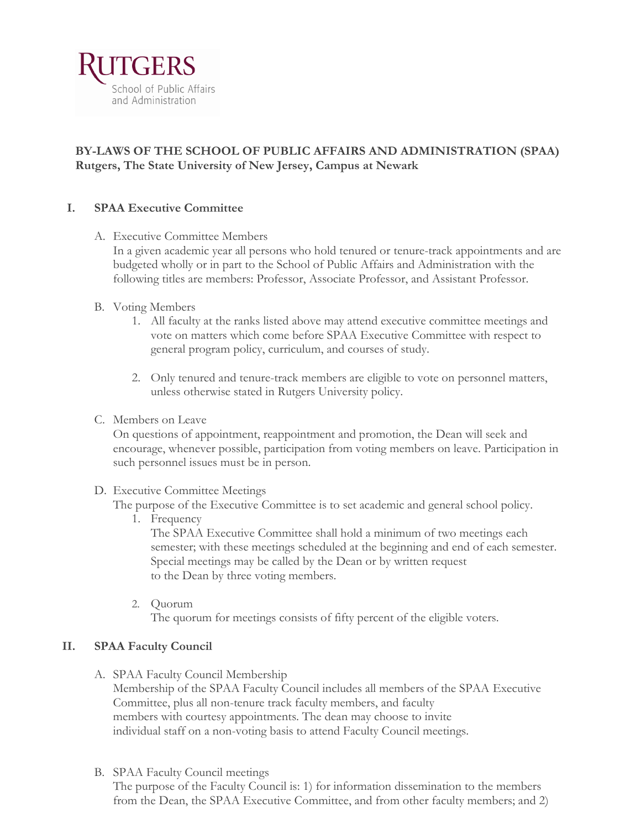

## **BY-LAWS OF THE SCHOOL OF PUBLIC AFFAIRS AND ADMINISTRATION (SPAA) Rutgers, The State University of New Jersey, Campus at Newark**

### **I. SPAA Executive Committee**

A. Executive Committee Members

In a given academic year all persons who hold tenured or tenure-track appointments and are budgeted wholly or in part to the School of Public Affairs and Administration with the following titles are members: Professor, Associate Professor, and Assistant Professor.

- B. Voting Members
	- 1. All faculty at the ranks listed above may attend executive committee meetings and vote on matters which come before SPAA Executive Committee with respect to general program policy, curriculum, and courses of study.
	- 2. Only tenured and tenure-track members are eligible to vote on personnel matters, unless otherwise stated in Rutgers University policy.
- C. Members on Leave

On questions of appointment, reappointment and promotion, the Dean will seek and encourage, whenever possible, participation from voting members on leave. Participation in such personnel issues must be in person.

#### D. Executive Committee Meetings

The purpose of the Executive Committee is to set academic and general school policy.

1. Frequency

The SPAA Executive Committee shall hold a minimum of two meetings each semester; with these meetings scheduled at the beginning and end of each semester. Special meetings may be called by the Dean or by written request to the Dean by three voting members.

2. Quorum

The quorum for meetings consists of fifty percent of the eligible voters.

### **II. SPAA Faculty Council**

A. SPAA Faculty Council Membership

Membership of the SPAA Faculty Council includes all members of the SPAA Executive Committee, plus all non-tenure track faculty members, and faculty members with courtesy appointments. The dean may choose to invite individual staff on a non-voting basis to attend Faculty Council meetings.

### B. SPAA Faculty Council meetings

The purpose of the Faculty Council is: 1) for information dissemination to the members from the Dean, the SPAA Executive Committee, and from other faculty members; and 2)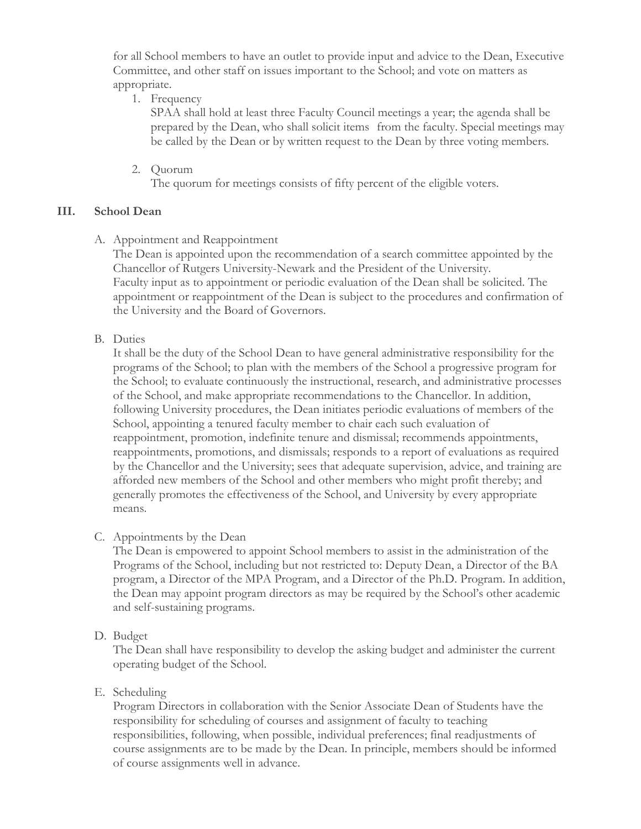for all School members to have an outlet to provide input and advice to the Dean, Executive Committee, and other staff on issues important to the School; and vote on matters as appropriate.

1. Frequency

SPAA shall hold at least three Faculty Council meetings a year; the agenda shall be prepared by the Dean, who shall solicit items from the faculty. Special meetings may be called by the Dean or by written request to the Dean by three voting members.

2. Quorum

The quorum for meetings consists of fifty percent of the eligible voters.

### **III. School Dean**

A. Appointment and Reappointment

The Dean is appointed upon the recommendation of a search committee appointed by the Chancellor of Rutgers University-Newark and the President of the University. Faculty input as to appointment or periodic evaluation of the Dean shall be solicited. The appointment or reappointment of the Dean is subject to the procedures and confirmation of the University and the Board of Governors.

B. Duties

It shall be the duty of the School Dean to have general administrative responsibility for the programs of the School; to plan with the members of the School a progressive program for the School; to evaluate continuously the instructional, research, and administrative processes of the School, and make appropriate recommendations to the Chancellor. In addition, following University procedures, the Dean initiates periodic evaluations of members of the School, appointing a tenured faculty member to chair each such evaluation of reappointment, promotion, indefinite tenure and dismissal; recommends appointments, reappointments, promotions, and dismissals; responds to a report of evaluations as required by the Chancellor and the University; sees that adequate supervision, advice, and training are afforded new members of the School and other members who might profit thereby; and generally promotes the effectiveness of the School, and University by every appropriate means.

C. Appointments by the Dean

The Dean is empowered to appoint School members to assist in the administration of the Programs of the School, including but not restricted to: Deputy Dean, a Director of the BA program, a Director of the MPA Program, and a Director of the Ph.D. Program. In addition, the Dean may appoint program directors as may be required by the School's other academic and self-sustaining programs.

D. Budget

The Dean shall have responsibility to develop the asking budget and administer the current operating budget of the School.

### E. Scheduling

Program Directors in collaboration with the Senior Associate Dean of Students have the responsibility for scheduling of courses and assignment of faculty to teaching responsibilities, following, when possible, individual preferences; final readjustments of course assignments are to be made by the Dean. In principle, members should be informed of course assignments well in advance.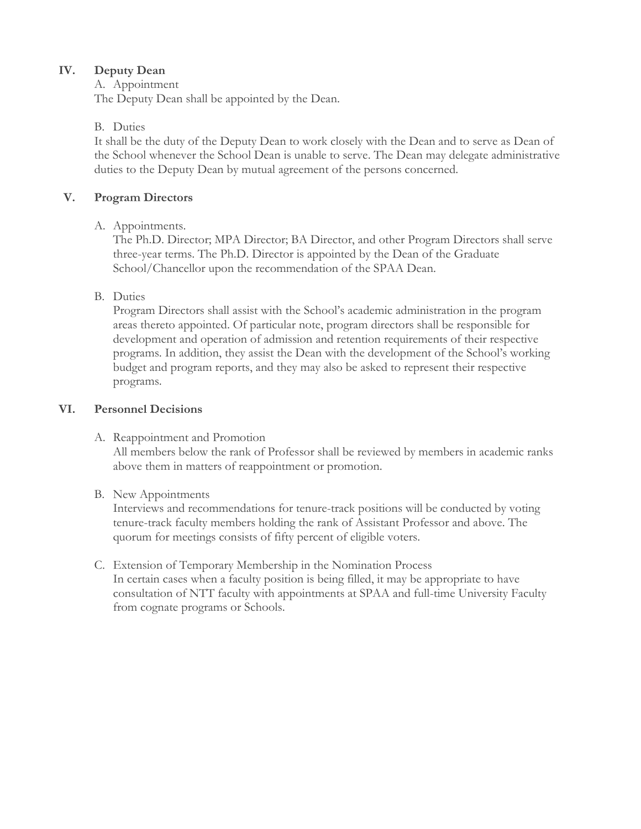# **IV. Deputy Dean**

# A. Appointment

The Deputy Dean shall be appointed by the Dean.

# B. Duties

It shall be the duty of the Deputy Dean to work closely with the Dean and to serve as Dean of the School whenever the School Dean is unable to serve. The Dean may delegate administrative duties to the Deputy Dean by mutual agreement of the persons concerned.

# **V. Program Directors**

# A. Appointments.

The Ph.D. Director; MPA Director; BA Director, and other Program Directors shall serve three-year terms. The Ph.D. Director is appointed by the Dean of the Graduate School/Chancellor upon the recommendation of the SPAA Dean.

# B. Duties

Program Directors shall assist with the School's academic administration in the program areas thereto appointed. Of particular note, program directors shall be responsible for development and operation of admission and retention requirements of their respective programs. In addition, they assist the Dean with the development of the School's working budget and program reports, and they may also be asked to represent their respective programs.

# **VI. Personnel Decisions**

# A. Reappointment and Promotion

All members below the rank of Professor shall be reviewed by members in academic ranks above them in matters of reappointment or promotion.

# B. New Appointments

Interviews and recommendations for tenure-track positions will be conducted by voting tenure-track faculty members holding the rank of Assistant Professor and above. The quorum for meetings consists of fifty percent of eligible voters.

## C. Extension of Temporary Membership in the Nomination Process In certain cases when a faculty position is being filled, it may be appropriate to have consultation of NTT faculty with appointments at SPAA and full-time University Faculty from cognate programs or Schools.